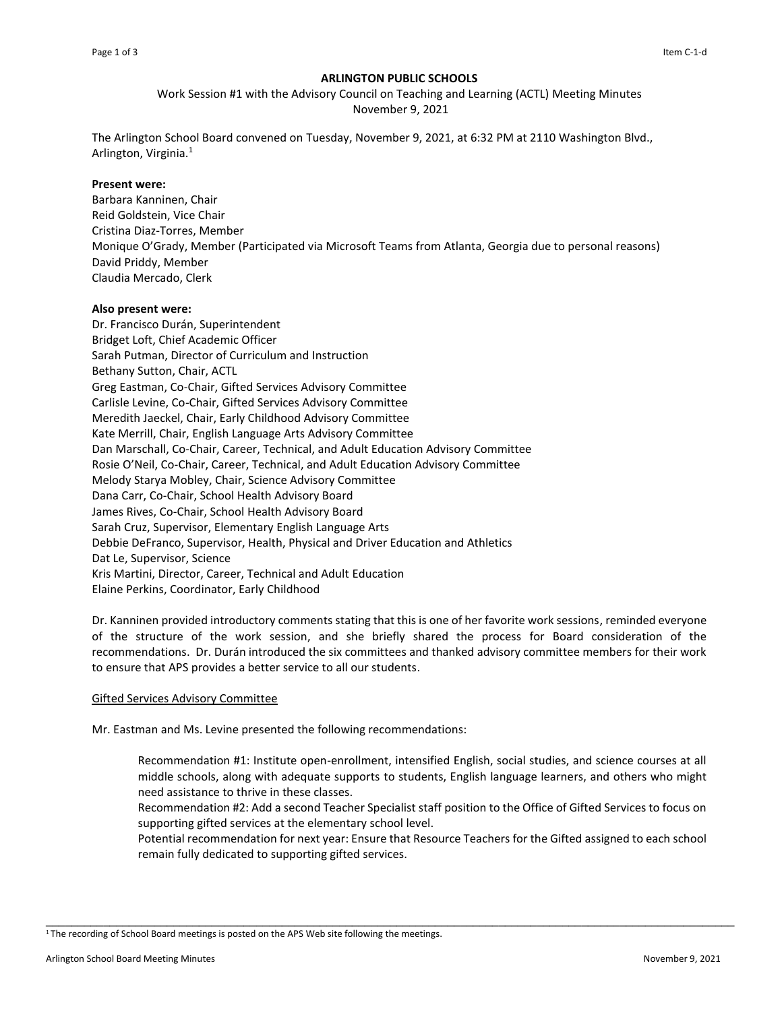# **ARLINGTON PUBLIC SCHOOLS**

Work Session #1 with the Advisory Council on Teaching and Learning (ACTL) Meeting Minutes November 9, 2021

The Arlington School Board convened on Tuesday, November 9, 2021, at 6:32 PM at 2110 Washington Blvd., Arlington, Virginia.<sup>1</sup>

## **Present were:**

Barbara Kanninen, Chair Reid Goldstein, Vice Chair Cristina Diaz-Torres, Member Monique O'Grady, Member (Participated via Microsoft Teams from Atlanta, Georgia due to personal reasons) David Priddy, Member Claudia Mercado, Clerk

## **Also present were:**

Dr. Francisco Durán, Superintendent Bridget Loft, Chief Academic Officer Sarah Putman, Director of Curriculum and Instruction Bethany Sutton, Chair, ACTL Greg Eastman, Co-Chair, Gifted Services Advisory Committee Carlisle Levine, Co-Chair, Gifted Services Advisory Committee Meredith Jaeckel, Chair, Early Childhood Advisory Committee Kate Merrill, Chair, English Language Arts Advisory Committee Dan Marschall, Co-Chair, Career, Technical, and Adult Education Advisory Committee Rosie O'Neil, Co-Chair, Career, Technical, and Adult Education Advisory Committee Melody Starya Mobley, Chair, Science Advisory Committee Dana Carr, Co-Chair, School Health Advisory Board James Rives, Co-Chair, School Health Advisory Board Sarah Cruz, Supervisor, Elementary English Language Arts Debbie DeFranco, Supervisor, Health, Physical and Driver Education and Athletics Dat Le, Supervisor, Science Kris Martini, Director, Career, Technical and Adult Education Elaine Perkins, Coordinator, Early Childhood

Dr. Kanninen provided introductory comments stating that this is one of her favorite work sessions, reminded everyone of the structure of the work session, and she briefly shared the process for Board consideration of the recommendations. Dr. Durán introduced the six committees and thanked advisory committee members for their work to ensure that APS provides a better service to all our students.

## Gifted Services Advisory Committee

Mr. Eastman and Ms. Levine presented the following recommendations:

Recommendation #1: Institute open-enrollment, intensified English, social studies, and science courses at all middle schools, along with adequate supports to students, English language learners, and others who might need assistance to thrive in these classes.

Recommendation #2: Add a second Teacher Specialist staff position to the Office of Gifted Services to focus on supporting gifted services at the elementary school level.

Potential recommendation for next year: Ensure that Resource Teachers for the Gifted assigned to each school remain fully dedicated to supporting gifted services.

\_\_\_\_\_\_\_\_\_\_\_\_\_\_\_\_\_\_\_\_\_\_\_\_\_\_\_\_\_\_\_\_\_\_\_\_\_\_\_\_\_\_\_\_\_\_\_\_\_\_\_\_\_\_\_\_\_\_\_\_\_\_\_\_\_\_\_\_\_\_\_\_\_\_\_\_\_\_\_\_\_\_\_\_\_\_\_\_\_\_\_\_\_\_\_\_\_\_\_\_\_\_\_\_\_\_\_\_

<sup>&</sup>lt;sup>1</sup>The recording of School Board meetings is posted on the APS Web site following the meetings.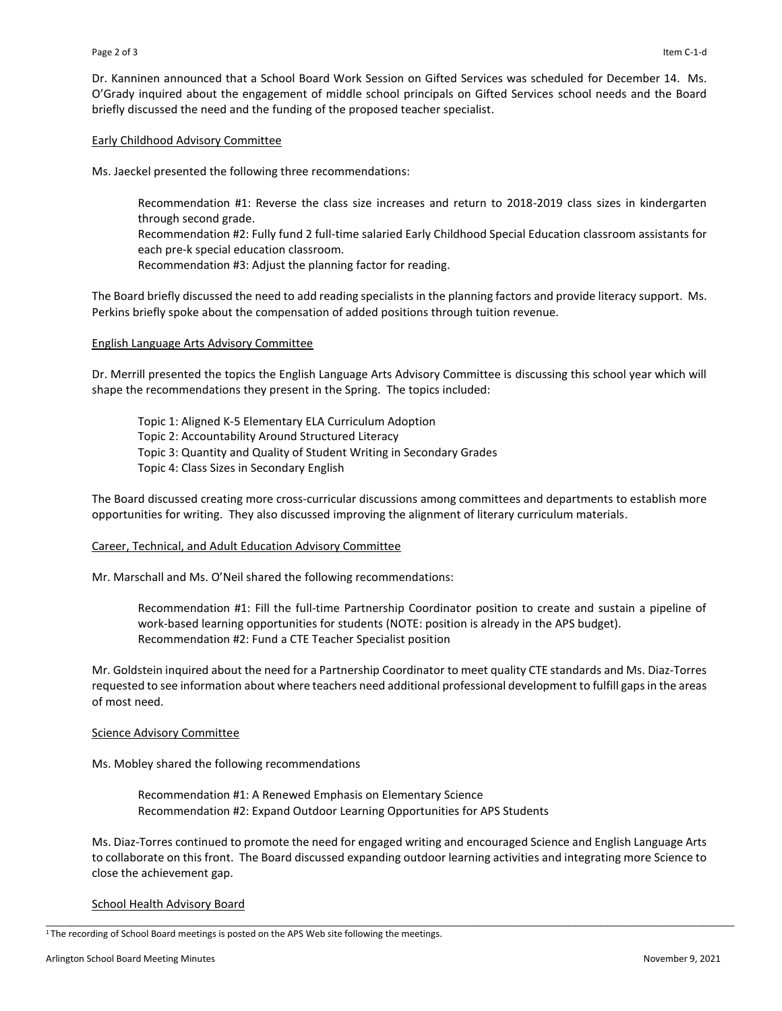Dr. Kanninen announced that a School Board Work Session on Gifted Services was scheduled for December 14. Ms. O'Grady inquired about the engagement of middle school principals on Gifted Services school needs and the Board briefly discussed the need and the funding of the proposed teacher specialist.

## Early Childhood Advisory Committee

Ms. Jaeckel presented the following three recommendations:

Recommendation #1: Reverse the class size increases and return to 2018-2019 class sizes in kindergarten through second grade.

Recommendation #2: Fully fund 2 full-time salaried Early Childhood Special Education classroom assistants for each pre-k special education classroom.

Recommendation #3: Adjust the planning factor for reading.

The Board briefly discussed the need to add reading specialists in the planning factors and provide literacy support. Ms. Perkins briefly spoke about the compensation of added positions through tuition revenue.

## English Language Arts Advisory Committee

Dr. Merrill presented the topics the English Language Arts Advisory Committee is discussing this school year which will shape the recommendations they present in the Spring. The topics included:

Topic 1: Aligned K-5 Elementary ELA Curriculum Adoption Topic 2: Accountability Around Structured Literacy Topic 3: Quantity and Quality of Student Writing in Secondary Grades Topic 4: Class Sizes in Secondary English

The Board discussed creating more cross-curricular discussions among committees and departments to establish more opportunities for writing. They also discussed improving the alignment of literary curriculum materials.

### Career, Technical, and Adult Education Advisory Committee

Mr. Marschall and Ms. O'Neil shared the following recommendations:

Recommendation #1: Fill the full-time Partnership Coordinator position to create and sustain a pipeline of work-based learning opportunities for students (NOTE: position is already in the APS budget). Recommendation #2: Fund a CTE Teacher Specialist position

Mr. Goldstein inquired about the need for a Partnership Coordinator to meet quality CTE standards and Ms. Diaz-Torres requested to see information about where teachers need additional professional development to fulfill gaps in the areas of most need.

### Science Advisory Committee

Ms. Mobley shared the following recommendations

Recommendation #1: A Renewed Emphasis on Elementary Science Recommendation #2: Expand Outdoor Learning Opportunities for APS Students

Ms. Diaz-Torres continued to promote the need for engaged writing and encouraged Science and English Language Arts to collaborate on this front. The Board discussed expanding outdoor learning activities and integrating more Science to close the achievement gap.

\_\_\_\_\_\_\_\_\_\_\_\_\_\_\_\_\_\_\_\_\_\_\_\_\_\_\_\_\_\_\_\_\_\_\_\_\_\_\_\_\_\_\_\_\_\_\_\_\_\_\_\_\_\_\_\_\_\_\_\_\_\_\_\_\_\_\_\_\_\_\_\_\_\_\_\_\_\_\_\_\_\_\_\_\_\_\_\_\_\_\_\_\_\_\_\_\_\_\_\_\_\_\_\_\_\_\_\_

## School Health Advisory Board

<sup>&</sup>lt;sup>1</sup>The recording of School Board meetings is posted on the APS Web site following the meetings.